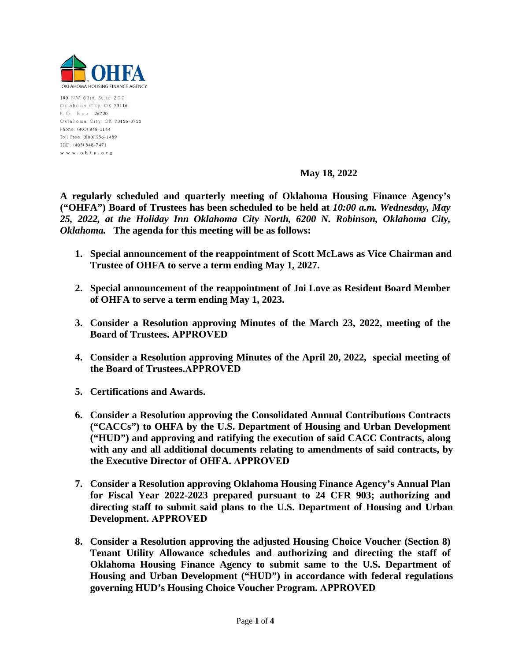

100 N.W. 63rd, Suite 200 Oklahoma City, OK 73116 P.O. Box 26720 Oklahoma City, OK 73126-0720 Phone: (405) 848-1144 Toll Free: (800) 256-1489 TDD: (405) 848-7471 www.ohfa.org

# **May 18, 2022**

**A regularly scheduled and quarterly meeting of Oklahoma Housing Finance Agency's ("OHFA") Board of Trustees has been scheduled to be held at** *10:00 a.m. Wednesday, May 25, 2022, at the Holiday Inn Oklahoma City North, 6200 N. Robinson, Oklahoma City, Oklahoma.* **The agenda for this meeting will be as follows:** 

- **1. Special announcement of the reappointment of Scott McLaws as Vice Chairman and Trustee of OHFA to serve a term ending May 1, 2027.**
- **2. Special announcement of the reappointment of Joi Love as Resident Board Member of OHFA to serve a term ending May 1, 2023.**
- **3. Consider a Resolution approving Minutes of the March 23, 2022, meeting of the Board of Trustees. APPROVED**
- **4. Consider a Resolution approving Minutes of the April 20, 2022, special meeting of the Board of Trustees.APPROVED**
- **5. Certifications and Awards.**
- **6. Consider a Resolution approving the Consolidated Annual Contributions Contracts ("CACCs") to OHFA by the U.S. Department of Housing and Urban Development ("HUD") and approving and ratifying the execution of said CACC Contracts, along with any and all additional documents relating to amendments of said contracts, by the Executive Director of OHFA. APPROVED**
- **7. Consider a Resolution approving Oklahoma Housing Finance Agency's Annual Plan for Fiscal Year 2022-2023 prepared pursuant to 24 CFR 903; authorizing and directing staff to submit said plans to the U.S. Department of Housing and Urban Development. APPROVED**
- **8. Consider a Resolution approving the adjusted Housing Choice Voucher (Section 8) Tenant Utility Allowance schedules and authorizing and directing the staff of Oklahoma Housing Finance Agency to submit same to the U.S. Department of Housing and Urban Development ("HUD") in accordance with federal regulations governing HUD's Housing Choice Voucher Program. APPROVED**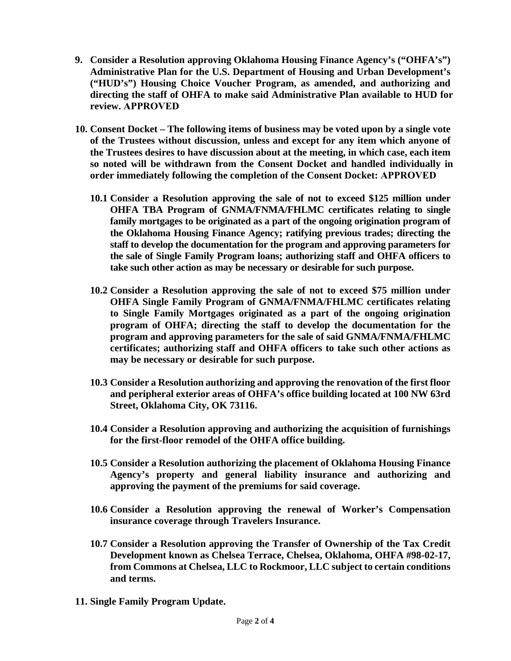- **9. Consider a Resolution approving Oklahoma Housing Finance Agency's ("OHFA's") Administrative Plan for the U.S. Department of Housing and Urban Development's ("HUD's") Housing Choice Voucher Program, as amended, and authorizing and directing the staff of OHFA to make said Administrative Plan available to HUD for review. APPROVED**
- **10. Consent Docket The following items of business may be voted upon by a single vote of the Trustees without discussion, unless and except for any item which anyone of the Trustees desires to have discussion about at the meeting, in which case, each item so noted will be withdrawn from the Consent Docket and handled individually in order immediately following the completion of the Consent Docket: APPROVED**
	- **10.1 Consider a Resolution approving the sale of not to exceed \$125 million under OHFA TBA Program of GNMA/FNMA/FHLMC certificates relating to single family mortgages to be originated as a part of the ongoing origination program of the Oklahoma Housing Finance Agency; ratifying previous trades; directing the staff to develop the documentation for the program and approving parameters for the sale of Single Family Program loans; authorizing staff and OHFA officers to take such other action as may be necessary or desirable for such purpose.**
	- **10.2 Consider a Resolution approving the sale of not to exceed \$75 million under OHFA Single Family Program of GNMA/FNMA/FHLMC certificates relating to Single Family Mortgages originated as a part of the ongoing origination program of OHFA; directing the staff to develop the documentation for the program and approving parameters for the sale of said GNMA/FNMA/FHLMC certificates; authorizing staff and OHFA officers to take such other actions as may be necessary or desirable for such purpose.**
	- **10.3 Consider a Resolution authorizing and approving the renovation of the first floor and peripheral exterior areas of OHFA's office building located at 100 NW 63rd Street, Oklahoma City, OK 73116.**
	- **10.4 Consider a Resolution approving and authorizing the acquisition of furnishings for the first-floor remodel of the OHFA office building.**
	- **10.5 Consider a Resolution authorizing the placement of Oklahoma Housing Finance Agency's property and general liability insurance and authorizing and approving the payment of the premiums for said coverage.**
	- **10.6 Consider a Resolution approving the renewal of Worker's Compensation insurance coverage through Travelers Insurance.**
	- **10.7 Consider a Resolution approving the Transfer of Ownership of the Tax Credit Development known as Chelsea Terrace, Chelsea, Oklahoma, OHFA #98-02-17, from Commons at Chelsea, LLC to Rockmoor, LLC subject to certain conditions and terms.**
- **11. Single Family Program Update.**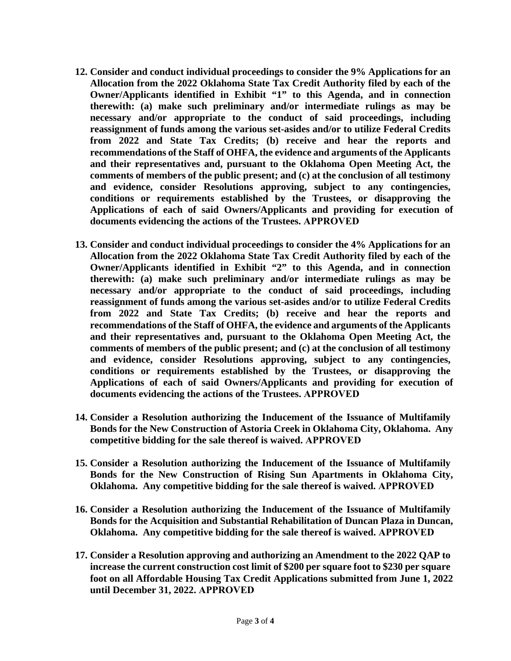- **12. Consider and conduct individual proceedings to consider the 9% Applications for an Allocation from the 2022 Oklahoma State Tax Credit Authority filed by each of the Owner/Applicants identified in Exhibit "1" to this Agenda, and in connection therewith: (a) make such preliminary and/or intermediate rulings as may be necessary and/or appropriate to the conduct of said proceedings, including reassignment of funds among the various set-asides and/or to utilize Federal Credits from 2022 and State Tax Credits; (b) receive and hear the reports and recommendations of the Staff of OHFA, the evidence and arguments of the Applicants and their representatives and, pursuant to the Oklahoma Open Meeting Act, the comments of members of the public present; and (c) at the conclusion of all testimony and evidence, consider Resolutions approving, subject to any contingencies, conditions or requirements established by the Trustees, or disapproving the Applications of each of said Owners/Applicants and providing for execution of documents evidencing the actions of the Trustees. APPROVED**
- **13. Consider and conduct individual proceedings to consider the 4% Applications for an Allocation from the 2022 Oklahoma State Tax Credit Authority filed by each of the Owner/Applicants identified in Exhibit "2" to this Agenda, and in connection therewith: (a) make such preliminary and/or intermediate rulings as may be necessary and/or appropriate to the conduct of said proceedings, including reassignment of funds among the various set-asides and/or to utilize Federal Credits from 2022 and State Tax Credits; (b) receive and hear the reports and recommendations of the Staff of OHFA, the evidence and arguments of the Applicants and their representatives and, pursuant to the Oklahoma Open Meeting Act, the comments of members of the public present; and (c) at the conclusion of all testimony and evidence, consider Resolutions approving, subject to any contingencies, conditions or requirements established by the Trustees, or disapproving the Applications of each of said Owners/Applicants and providing for execution of documents evidencing the actions of the Trustees. APPROVED**
- **14. Consider a Resolution authorizing the Inducement of the Issuance of Multifamily Bonds for the New Construction of Astoria Creek in Oklahoma City, Oklahoma. Any competitive bidding for the sale thereof is waived. APPROVED**
- **15. Consider a Resolution authorizing the Inducement of the Issuance of Multifamily Bonds for the New Construction of Rising Sun Apartments in Oklahoma City, Oklahoma. Any competitive bidding for the sale thereof is waived. APPROVED**
- **16. Consider a Resolution authorizing the Inducement of the Issuance of Multifamily Bonds for the Acquisition and Substantial Rehabilitation of Duncan Plaza in Duncan, Oklahoma. Any competitive bidding for the sale thereof is waived. APPROVED**
- **17. Consider a Resolution approving and authorizing an Amendment to the 2022 QAP to increase the current construction cost limit of \$200 per square foot to \$230 per square foot on all Affordable Housing Tax Credit Applications submitted from June 1, 2022 until December 31, 2022. APPROVED**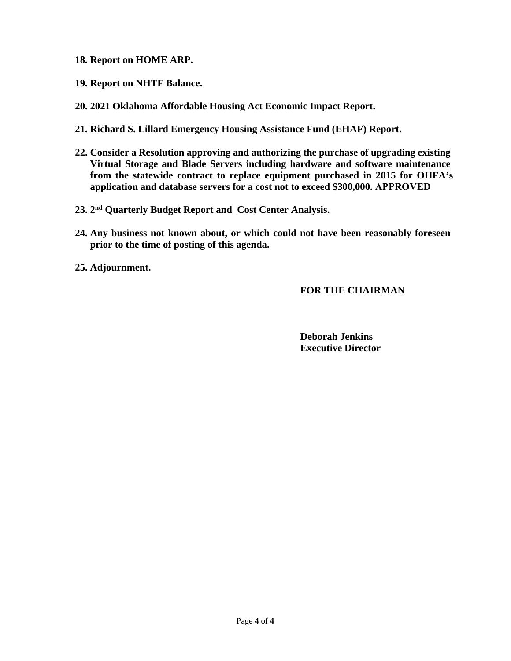- **18. Report on HOME ARP.**
- **19. Report on NHTF Balance.**
- **20. 2021 Oklahoma Affordable Housing Act Economic Impact Report.**
- **21. Richard S. Lillard Emergency Housing Assistance Fund (EHAF) Report.**
- **22. Consider a Resolution approving and authorizing the purchase of upgrading existing Virtual Storage and Blade Servers including hardware and software maintenance from the statewide contract to replace equipment purchased in 2015 for OHFA's application and database servers for a cost not to exceed \$300,000. APPROVED**
- **23. 2nd Quarterly Budget Report and Cost Center Analysis.**
- **24. Any business not known about, or which could not have been reasonably foreseen prior to the time of posting of this agenda.**
- **25. Adjournment.**

# **FOR THE CHAIRMAN**

**Deborah Jenkins Executive Director**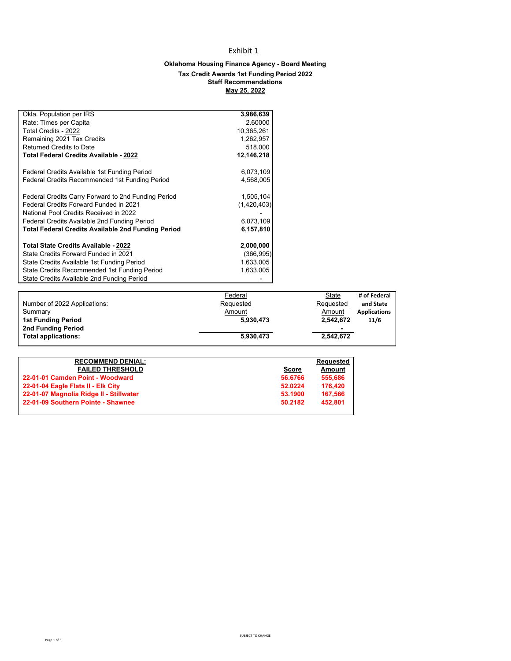# Exhibit 1

## **Oklahoma Housing Finance Agency - Board Meeting Tax Credit Awards 1st Funding Period 2022 Staff Recommendations May 25, 2022**

| Okla. Population per IRS                                  | 3,986,639   |
|-----------------------------------------------------------|-------------|
| Rate: Times per Capita                                    | 2.60000     |
| Total Credits - 2022                                      | 10,365,261  |
| Remaining 2021 Tax Credits                                | 1,262,957   |
| Returned Credits to Date                                  | 518,000     |
| <b>Total Federal Credits Available - 2022</b>             | 12,146,218  |
| Federal Credits Available 1st Funding Period              | 6,073,109   |
| Federal Credits Recommended 1st Funding Period            | 4,568,005   |
| Federal Credits Carry Forward to 2nd Funding Period       | 1,505,104   |
| Federal Credits Forward Funded in 2021                    | (1,420,403) |
| National Pool Credits Received in 2022                    |             |
| Federal Credits Available 2nd Funding Period              | 6,073,109   |
| <b>Total Federal Credits Available 2nd Funding Period</b> | 6,157,810   |
| Total State Credits Available - 2022                      | 2,000,000   |
| State Credits Forward Funded in 2021                      | (366, 995)  |
| State Credits Available 1st Funding Period                | 1,633,005   |
| State Credits Recommended 1st Funding Period              | 1,633,005   |
| State Credits Available 2nd Funding Period                |             |

| Federal   | State     | # of Federal        |
|-----------|-----------|---------------------|
| Requested | Requested | and State           |
| Amount    | Amount    | <b>Applications</b> |
| 5.930.473 | 2,542,672 | 11/6                |
|           | -         |                     |
| 5.930.473 | 2.542.672 |                     |
|           |           |                     |

|         | <b>Requested</b> |
|---------|------------------|
| Score   | Amount           |
| 56.6766 | 555.686          |
| 52.0224 | 176.420          |
| 53.1900 | 167.566          |
| 50.2182 | 452.801          |
|         |                  |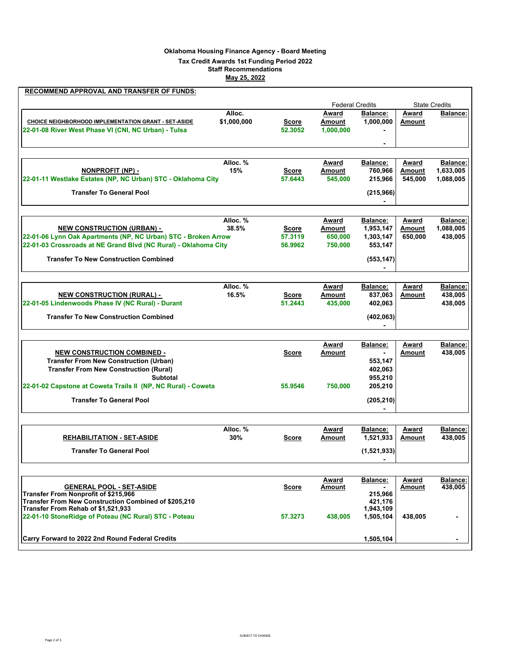## **Oklahoma Housing Finance Agency - Board Meeting**

### **Tax Credit Awards 1st Funding Period 2022**

**Staff Recommendations**

**May 25, 2022**

| RECOMMEND APPROVAL AND TRANSFER OF FUNDS:                                                                    |                       |                         |                              |                              |                          |                        |
|--------------------------------------------------------------------------------------------------------------|-----------------------|-------------------------|------------------------------|------------------------------|--------------------------|------------------------|
|                                                                                                              |                       |                         |                              | <b>Federal Credits</b>       |                          | <b>State Credits</b>   |
| CHOICE NEIGHBORHOOD IMPLEMENTATION GRANT - SET-ASIDE<br>22-01-08 River West Phase VI (CNI, NC Urban) - Tulsa | Alloc.<br>\$1,000,000 | Score<br>52.3052        | Award<br>Amount<br>1,000,000 | <b>Balance:</b><br>1,000,000 | Award<br>Amount          | Balance:               |
|                                                                                                              |                       |                         |                              |                              |                          |                        |
|                                                                                                              | Alloc. %              |                         | Award                        | <b>Balance:</b>              | <u>Award</u>             | <b>Balance:</b>        |
| <u>NONPROFIT (NP) -</u><br>22-01-11 Westlake Estates (NP, NC Urban) STC - Oklahoma City                      | 15%                   | <b>Score</b><br>57.6443 | <b>Amount</b><br>545,000     | 760,966<br>215,966           | <b>Amount</b><br>545,000 | 1,633,005<br>1,088,005 |
| <b>Transfer To General Pool</b>                                                                              |                       |                         |                              | (215, 966)                   |                          |                        |
|                                                                                                              |                       |                         |                              |                              |                          |                        |
|                                                                                                              | Alloc. %              |                         | Award                        | <b>Balance:</b>              | Award                    | <b>Balance:</b>        |
| <u>NEW CONSTRUCTION (URBAN) -</u>                                                                            | 38.5%                 | <u>Score</u>            | <b>Amount</b>                | 1,953,147                    | <b>Amount</b>            | 1,088,005              |
| 22-01-06 Lynn Oak Apartments (NP, NC Urban) STC - Broken Arrow                                               |                       | 57.3119                 | 650,000                      | 1,303,147                    | 650,000                  | 438,005                |
| 22-01-03 Crossroads at NE Grand Blvd (NC Rural) - Oklahoma City                                              |                       | 56.9962                 | 750,000                      | 553,147                      |                          |                        |
| <b>Transfer To New Construction Combined</b>                                                                 |                       |                         |                              | (553, 147)                   |                          |                        |
|                                                                                                              | Alloc. %              |                         | Award                        | <b>Balance:</b>              | Award                    | <b>Balance:</b>        |
| <b>NEW CONSTRUCTION (RURAL) -</b>                                                                            | 16.5%                 | Score                   | Amount                       | 837,063                      | Amount                   | 438,005                |
| 22-01-05 Lindenwoods Phase IV (NC Rural) - Durant                                                            |                       | 51.2443                 | 435,000                      | 402,063                      |                          | 438,005                |
| <b>Transfer To New Construction Combined</b>                                                                 |                       |                         |                              | (402, 063)                   |                          |                        |
|                                                                                                              |                       |                         | Award                        | <b>Balance:</b>              | Award                    | <b>Balance:</b>        |
| <b>NEW CONSTRUCTION COMBINED -</b>                                                                           |                       | Score                   | Amount                       | $\blacksquare$               | Amount                   | 438,005                |
| <b>Transfer From New Construction (Urban)</b>                                                                |                       |                         |                              | 553,147                      |                          |                        |
| <b>Transfer From New Construction (Rural)</b>                                                                |                       |                         |                              | 402,063                      |                          |                        |
| <b>Subtotal</b>                                                                                              |                       |                         |                              | 955,210                      |                          |                        |
| 22-01-02 Capstone at Coweta Trails II (NP, NC Rural) - Coweta                                                |                       | 55,9546                 | 750,000                      | 205,210                      |                          |                        |
| <b>Transfer To General Pool</b>                                                                              |                       |                         |                              | (205, 210)                   |                          |                        |
|                                                                                                              |                       |                         |                              |                              |                          |                        |
|                                                                                                              | Alloc. %              |                         | Award                        | <b>Balance:</b>              | Award                    | <b>Balance:</b>        |
| <b>REHABILITATION - SET-ASIDE</b>                                                                            | 30%                   | Score                   | Amount                       | 1,521,933                    | Amount                   | 438,005                |
| <b>Transfer To General Pool</b>                                                                              |                       |                         |                              | (1,521,933)                  |                          |                        |
|                                                                                                              |                       |                         | Award                        | Balance:                     | Award                    | Balance:               |
| <b>GENERAL POOL - SET-ASIDE</b>                                                                              |                       | <b>Score</b>            | <u>Amount</u>                |                              | <b>Amount</b>            | 438.005                |
| <b>Transfer From Nonprofit of \$215,966</b>                                                                  |                       |                         |                              | 215,966                      |                          |                        |
| Transfer From New Construction Combined of \$205,210<br>Transfer From Rehab of \$1,521,933                   |                       |                         |                              | 421,176<br>1,943,109         |                          |                        |
| 22-01-10 StoneRidge of Poteau (NC Rural) STC - Poteau                                                        |                       | 57.3273                 | 438,005                      | 1,505,104                    | 438,005                  | -                      |
| Carry Forward to 2022 2nd Round Federal Credits                                                              |                       |                         |                              | 1,505,104                    |                          |                        |
|                                                                                                              |                       |                         |                              |                              |                          |                        |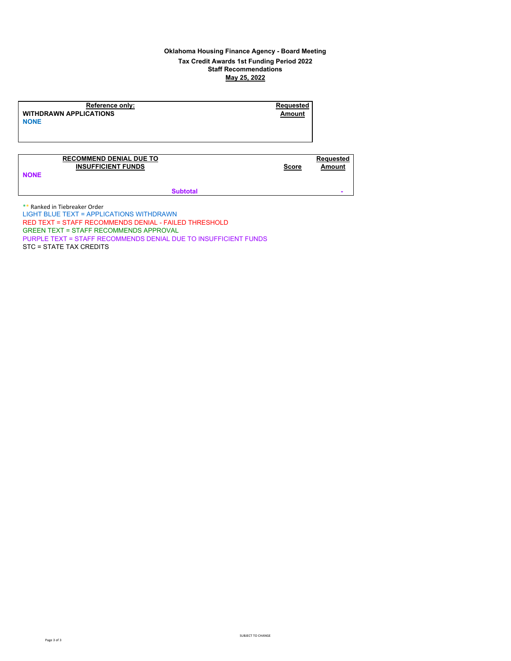### **Oklahoma Housing Finance Agency - Board Meeting Tax Credit Awards 1st Funding Period 2022 Staff Recommendations**

**May 25, 2022**

**Reference only: Requested**<br> **REQUESTED REQUESTED ALCATIONS WITHDRAWN APPLICATIONS NONE**

### **RECOMMEND DENIAL DUE TO Requested INSUFFICIENT FUNDS Score Amount**

**NONE**

**Subtotal** 

\*\* Ranked in Tiebreaker Order LIGHT BLUE TEXT = APPLICATIONS WITHDRAWN RED TEXT = STAFF RECOMMENDS DENIAL - FAILED THRESHOLD GREEN TEXT = STAFF RECOMMENDS APPROVAL PURPLE TEXT = STAFF RECOMMENDS DENIAL DUE TO INSUFFICIENT FUNDS STC = STATE TAX CREDITS